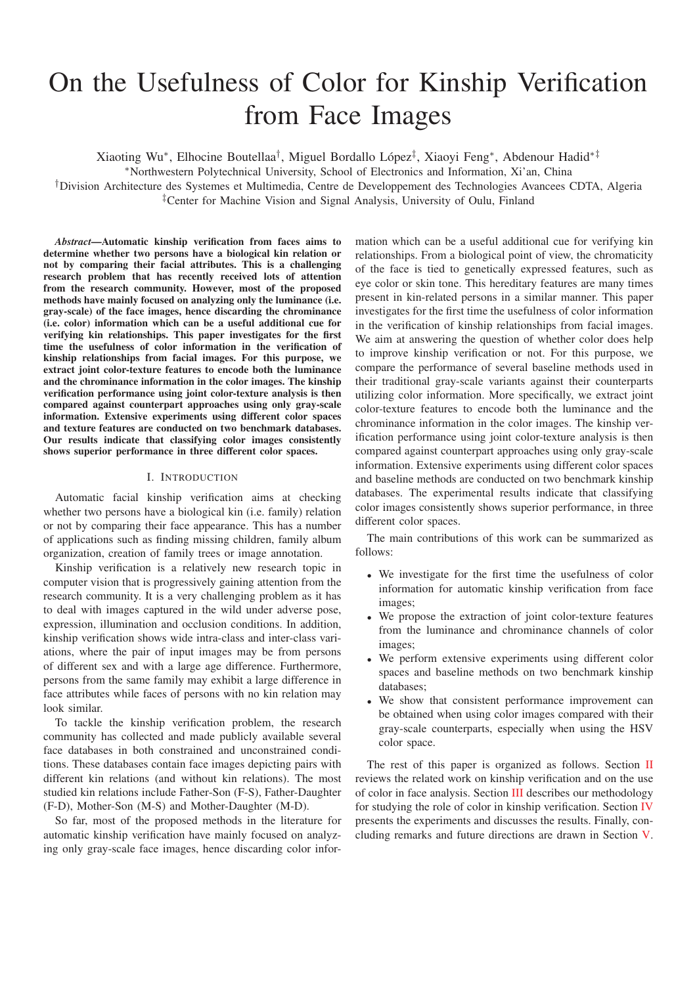# On the Usefulness of Color for Kinship Verification from Face Images

Xiaoting Wu<sup>∗</sup>, Elhocine Boutellaa<sup>†</sup>, Miguel Bordallo López<sup>‡</sup>, Xiaoyi Feng<sup>∗</sup>, Abdenour Hadid<sup>∗‡</sup>

∗Northwestern Polytechnical University, School of Electronics and Information, Xi'an, China

†Division Architecture des Systemes et Multimedia, Centre de Developpement des Technologies Avancees CDTA, Algeria

‡Center for Machine Vision and Signal Analysis, University of Oulu, Finland

*Abstract*—Automatic kinship verification from faces aims to determine whether two persons have a biological kin relation or not by comparing their facial attributes. This is a challenging research problem that has recently received lots of attention from the research community. However, most of the proposed methods have mainly focused on analyzing only the luminance (i.e. gray-scale) of the face images, hence discarding the chrominance (i.e. color) information which can be a useful additional cue for verifying kin relationships. This paper investigates for the first time the usefulness of color information in the verification of kinship relationships from facial images. For this purpose, we extract joint color-texture features to encode both the luminance and the chrominance information in the color images. The kinship verification performance using joint color-texture analysis is then compared against counterpart approaches using only gray-scale information. Extensive experiments using different color spaces and texture features are conducted on two benchmark databases. Our results indicate that classifying color images consistently shows superior performance in three different color spaces.

#### I. INTRODUCTION

Automatic facial kinship verification aims at checking whether two persons have a biological kin (i.e. family) relation or not by comparing their face appearance. This has a number of applications such as finding missing children, family album organization, creation of family trees or image annotation.

Kinship verification is a relatively new research topic in computer vision that is progressively gaining attention from the research community. It is a very challenging problem as it has to deal with images captured in the wild under adverse pose, expression, illumination and occlusion conditions. In addition, kinship verification shows wide intra-class and inter-class variations, where the pair of input images may be from persons of different sex and with a large age difference. Furthermore, persons from the same family may exhibit a large difference in face attributes while faces of persons with no kin relation may look similar.

To tackle the kinship verification problem, the research community has collected and made publicly available several face databases in both constrained and unconstrained conditions. These databases contain face images depicting pairs with different kin relations (and without kin relations). The most studied kin relations include Father-Son (F-S), Father-Daughter (F-D), Mother-Son (M-S) and Mother-Daughter (M-D).

So far, most of the proposed methods in the literature for automatic kinship verification have mainly focused on analyzing only gray-scale face images, hence discarding color information which can be a useful additional cue for verifying kin relationships. From a biological point of view, the chromaticity of the face is tied to genetically expressed features, such as eye color or skin tone. This hereditary features are many times present in kin-related persons in a similar manner. This paper investigates for the first time the usefulness of color information in the verification of kinship relationships from facial images. We aim at answering the question of whether color does help to improve kinship verification or not. For this purpose, we compare the performance of several baseline methods used in their traditional gray-scale variants against their counterparts utilizing color information. More specifically, we extract joint color-texture features to encode both the luminance and the chrominance information in the color images. The kinship verification performance using joint color-texture analysis is then compared against counterpart approaches using only gray-scale information. Extensive experiments using different color spaces and baseline methods are conducted on two benchmark kinship databases. The experimental results indicate that classifying color images consistently shows superior performance, in three different color spaces.

The main contributions of this work can be summarized as follows:

- We investigate for the first time the usefulness of color information for automatic kinship verification from face images;
- We propose the extraction of joint color-texture features from the luminance and chrominance channels of color images;
- We perform extensive experiments using different color spaces and baseline methods on two benchmark kinship databases;
- We show that consistent performance improvement can be obtained when using color images compared with their gray-scale counterparts, especially when using the HSV color space.

The rest of this paper is organized as follows. Section II reviews the related work on kinship verification and on the use of color in face analysis. Section III describes our methodology for studying the role of color in kinship verification. Section IV presents the experiments and discusses the results. Finally, concluding remarks and future directions are drawn in Section V.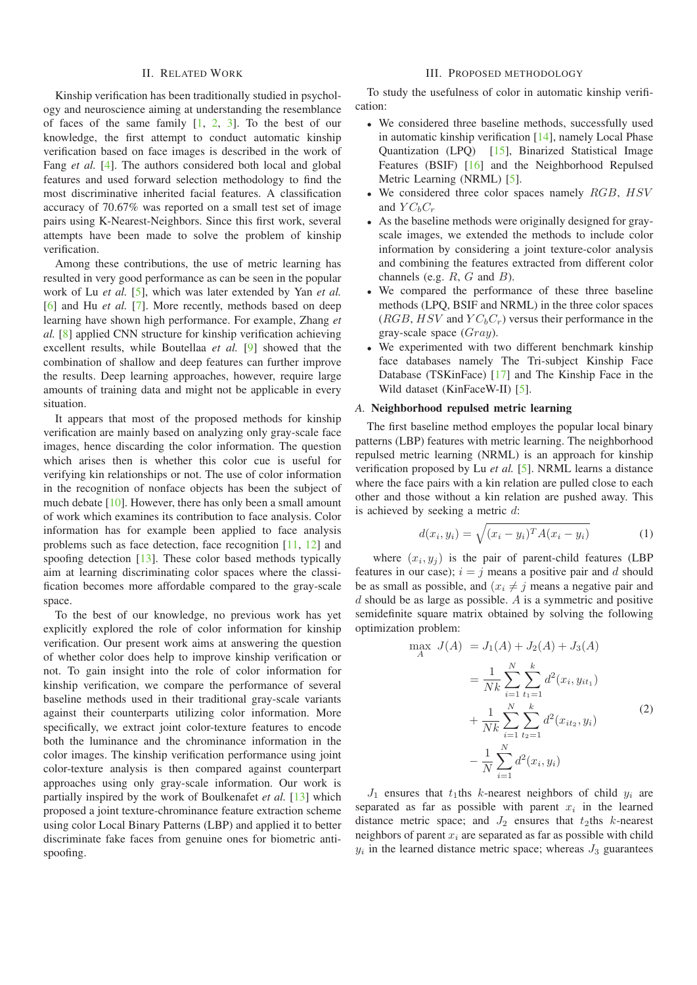# II. RELATED WORK

Kinship verification has been traditionally studied in psychology and neuroscience aiming at understanding the resemblance of faces of the same family [1, 2, 3]. To the best of our knowledge, the first attempt to conduct automatic kinship verification based on face images is described in the work of Fang *et al.* [4]. The authors considered both local and global features and used forward selection methodology to find the most discriminative inherited facial features. A classification accuracy of 70.67% was reported on a small test set of image pairs using K-Nearest-Neighbors. Since this first work, several attempts have been made to solve the problem of kinship verification.

Among these contributions, the use of metric learning has resulted in very good performance as can be seen in the popular work of Lu *et al.* [5], which was later extended by Yan *et al.* [6] and Hu *et al.* [7]. More recently, methods based on deep learning have shown high performance. For example, Zhang *et al.* [8] applied CNN structure for kinship verification achieving excellent results, while Boutellaa *et al.* [9] showed that the combination of shallow and deep features can further improve the results. Deep learning approaches, however, require large amounts of training data and might not be applicable in every situation.

It appears that most of the proposed methods for kinship verification are mainly based on analyzing only gray-scale face images, hence discarding the color information. The question which arises then is whether this color cue is useful for verifying kin relationships or not. The use of color information in the recognition of nonface objects has been the subject of much debate [10]. However, there has only been a small amount of work which examines its contribution to face analysis. Color information has for example been applied to face analysis problems such as face detection, face recognition [11, 12] and spoofing detection [13]. These color based methods typically aim at learning discriminating color spaces where the classification becomes more affordable compared to the gray-scale space.

To the best of our knowledge, no previous work has yet explicitly explored the role of color information for kinship verification. Our present work aims at answering the question of whether color does help to improve kinship verification or not. To gain insight into the role of color information for kinship verification, we compare the performance of several baseline methods used in their traditional gray-scale variants against their counterparts utilizing color information. More specifically, we extract joint color-texture features to encode both the luminance and the chrominance information in the color images. The kinship verification performance using joint color-texture analysis is then compared against counterpart approaches using only gray-scale information. Our work is partially inspired by the work of Boulkenafet *et al.* [13] which proposed a joint texture-chrominance feature extraction scheme using color Local Binary Patterns (LBP) and applied it to better discriminate fake faces from genuine ones for biometric antispoofing.

## III. PROPOSED METHODOLOGY

To study the usefulness of color in automatic kinship verification:

- We considered three baseline methods, successfully used in automatic kinship verification [14], namely Local Phase Quantization (LPQ) [15], Binarized Statistical Image Features (BSIF) [16] and the Neighborhood Repulsed Metric Learning (NRML) [5].
- We considered three color spaces namely RGB, HSV and  $YC<sub>b</sub>C<sub>r</sub>$
- As the baseline methods were originally designed for grayscale images, we extended the methods to include color information by considering a joint texture-color analysis and combining the features extracted from different color channels (e.g.  $R$ ,  $G$  and  $B$ ).
- We compared the performance of these three baseline methods (LPQ, BSIF and NRML) in the three color spaces  $(RGB, HSV$  and  $YC<sub>b</sub>C<sub>r</sub>$ ) versus their performance in the gray-scale space (Gray).
- We experimented with two different benchmark kinship face databases namely The Tri-subject Kinship Face Database (TSKinFace) [17] and The Kinship Face in the Wild dataset (KinFaceW-II) [5].

# *A.* Neighborhood repulsed metric learning

The first baseline method employes the popular local binary patterns (LBP) features with metric learning. The neighborhood repulsed metric learning (NRML) is an approach for kinship verification proposed by Lu *et al.* [5]. NRML learns a distance where the face pairs with a kin relation are pulled close to each other and those without a kin relation are pushed away. This is achieved by seeking a metric  $d$ :

$$
d(x_i, y_i) = \sqrt{(x_i - y_i)^T A (x_i - y_i)}
$$
(1)

where  $(x_i, y_j)$  is the pair of parent-child features (LBP features in our case);  $i = j$  means a positive pair and d should be as small as possible, and  $(x_i \neq j$  means a negative pair and  $d$  should be as large as possible. A is a symmetric and positive semidefinite square matrix obtained by solving the following optimization problem:

$$
\max_{A} J(A) = J_1(A) + J_2(A) + J_3(A)
$$
  
=  $\frac{1}{Nk} \sum_{i=1}^{N} \sum_{t_1=1}^{k} d^2(x_i, y_{it_1})$   
+  $\frac{1}{Nk} \sum_{i=1}^{N} \sum_{t_2=1}^{k} d^2(x_{it_2}, y_i)$  (2)  
-  $\frac{1}{N} \sum_{i=1}^{N} d^2(x_i, y_i)$ 

 $J_1$  ensures that  $t_1$ ths k-nearest neighbors of child  $y_i$  are separated as far as possible with parent  $x_i$  in the learned distance metric space; and  $J_2$  ensures that  $t_2$ ths k-nearest neighbors of parent  $x_i$  are separated as far as possible with child  $y_i$  in the learned distance metric space; whereas  $J_3$  guarantees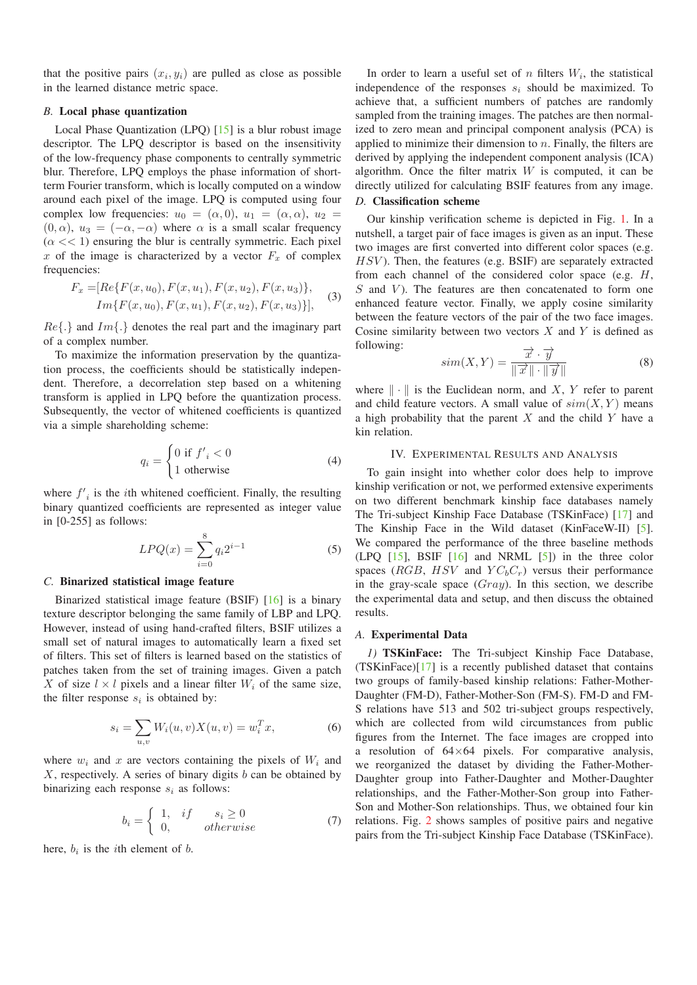that the positive pairs  $(x_i, y_i)$  are pulled as close as possible in the learned distance metric space.

# *B.* Local phase quantization

Local Phase Quantization (LPQ) [15] is a blur robust image descriptor. The LPQ descriptor is based on the insensitivity of the low-frequency phase components to centrally symmetric blur. Therefore, LPQ employs the phase information of shortterm Fourier transform, which is locally computed on a window around each pixel of the image. LPQ is computed using four complex low frequencies:  $u_0 = (\alpha, 0), u_1 = (\alpha, \alpha), u_2 =$  $(0, \alpha)$ ,  $u_3 = (-\alpha, -\alpha)$  where  $\alpha$  is a small scalar frequency  $(\alpha \ll 1)$  ensuring the blur is centrally symmetric. Each pixel x of the image is characterized by a vector  $F_x$  of complex frequencies:

$$
F_x = [Re\{F(x, u_0), F(x, u_1), F(x, u_2), F(x, u_3)\},
$$
  
\n
$$
Im\{F(x, u_0), F(x, u_1), F(x, u_2), F(x, u_3)\}],
$$
\n(3)

 $Re\{\cdot\}$  and  $Im\{\cdot\}$  denotes the real part and the imaginary part of a complex number.

To maximize the information preservation by the quantization process, the coefficients should be statistically independent. Therefore, a decorrelation step based on a whitening transform is applied in LPQ before the quantization process. Subsequently, the vector of whitened coefficients is quantized via a simple shareholding scheme:

$$
q_i = \begin{cases} 0 & \text{if } f'_i < 0 \\ 1 & \text{otherwise} \end{cases}
$$
 (4)

where  $f'_{i}$  is the *i*th whitened coefficient. Finally, the resulting binary quantized coefficients are represented as integer value in [0-255] as follows:

$$
LPQ(x) = \sum_{i=0}^{8} q_i 2^{i-1}
$$
 (5)

## *C.* Binarized statistical image feature

Binarized statistical image feature (BSIF) [16] is a binary texture descriptor belonging the same family of LBP and LPQ. However, instead of using hand-crafted filters, BSIF utilizes a small set of natural images to automatically learn a fixed set of filters. This set of filters is learned based on the statistics of patches taken from the set of training images. Given a patch X of size  $l \times l$  pixels and a linear filter  $W_i$  of the same size, the filter response  $s_i$  is obtained by:

$$
s_i = \sum_{u,v} W_i(u,v)X(u,v) = w_i^T x,
$$
 (6)

where  $w_i$  and x are vectors containing the pixels of  $W_i$  and  $X$ , respectively. A series of binary digits  $b$  can be obtained by binarizing each response  $s_i$  as follows:

$$
b_i = \begin{cases} 1, & if & s_i \ge 0 \\ 0, & otherwise \end{cases}
$$
 (7)

here,  $b_i$  is the *i*th element of *b*.

In order to learn a useful set of n filters  $W_i$ , the statistical independence of the responses  $s_i$  should be maximized. To achieve that, a sufficient numbers of patches are randomly sampled from the training images. The patches are then normalized to zero mean and principal component analysis (PCA) is applied to minimize their dimension to  $n$ . Finally, the filters are derived by applying the independent component analysis (ICA) algorithm. Once the filter matrix  $W$  is computed, it can be directly utilized for calculating BSIF features from any image.

# *D.* Classification scheme

Our kinship verification scheme is depicted in Fig. 1. In a nutshell, a target pair of face images is given as an input. These two images are first converted into different color spaces (e.g.  $HSV$ ). Then, the features (e.g. BSIF) are separately extracted from each channel of the considered color space (e.g. H,  $S$  and  $V$ ). The features are then concatenated to form one enhanced feature vector. Finally, we apply cosine similarity between the feature vectors of the pair of the two face images. Cosine similarity between two vectors  $X$  and  $Y$  is defined as following:

$$
sim(X,Y) = \frac{\overrightarrow{x} \cdot \overrightarrow{y}}{\|\overrightarrow{x}\| \cdot \|\overrightarrow{y}\|}
$$
 (8)

where  $\|\cdot\|$  is the Euclidean norm, and X, Y refer to parent and child feature vectors. A small value of  $sim(X, Y)$  means a high probability that the parent  $X$  and the child  $Y$  have a kin relation.

# IV. EXPERIMENTAL RESULTS AND ANALYSIS

To gain insight into whether color does help to improve kinship verification or not, we performed extensive experiments on two different benchmark kinship face databases namely The Tri-subject Kinship Face Database (TSKinFace) [17] and The Kinship Face in the Wild dataset (KinFaceW-II) [5]. We compared the performance of the three baseline methods (LPQ  $[15]$ , BSIF  $[16]$  and NRML  $[5]$ ) in the three color spaces ( $RGB,$  HSV and  $YC_bC_r$ ) versus their performance in the gray-scale space  $(Gray)$ . In this section, we describe the experimental data and setup, and then discuss the obtained results.

### *A.* Experimental Data

*1)* TSKinFace: The Tri-subject Kinship Face Database, (TSKinFace)[17] is a recently published dataset that contains two groups of family-based kinship relations: Father-Mother-Daughter (FM-D), Father-Mother-Son (FM-S). FM-D and FM-S relations have 513 and 502 tri-subject groups respectively, which are collected from wild circumstances from public figures from the Internet. The face images are cropped into a resolution of  $64\times64$  pixels. For comparative analysis, we reorganized the dataset by dividing the Father-Mother-Daughter group into Father-Daughter and Mother-Daughter relationships, and the Father-Mother-Son group into Father-Son and Mother-Son relationships. Thus, we obtained four kin relations. Fig. 2 shows samples of positive pairs and negative pairs from the Tri-subject Kinship Face Database (TSKinFace).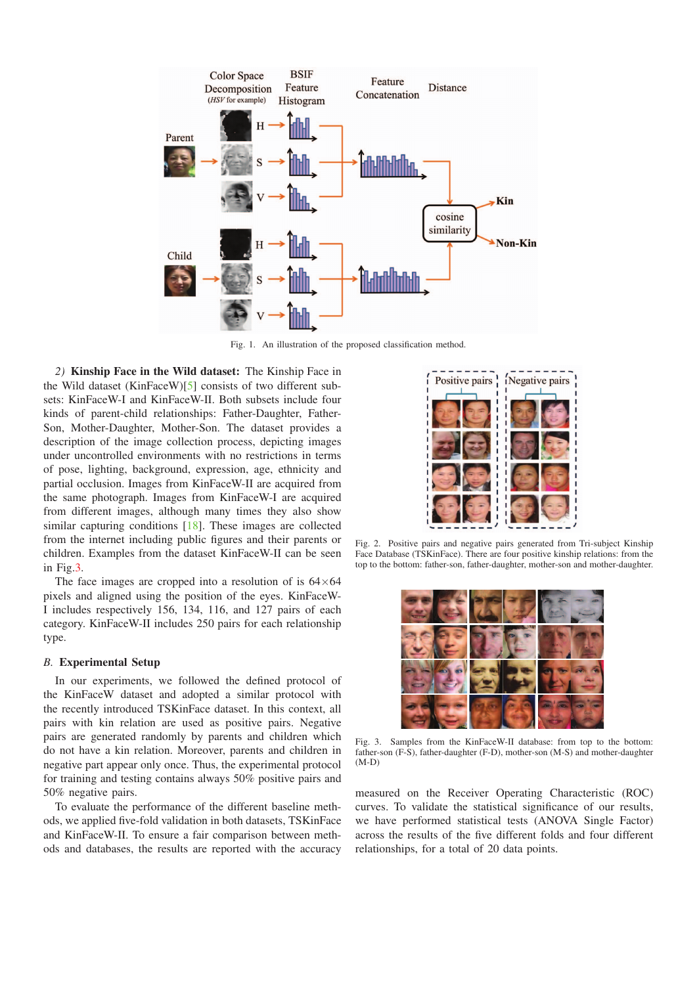

Fig. 1. An illustration of the proposed classification method.

*2)* Kinship Face in the Wild dataset: The Kinship Face in the Wild dataset (KinFaceW)[5] consists of two different subsets: KinFaceW-I and KinFaceW-II. Both subsets include four kinds of parent-child relationships: Father-Daughter, Father-Son, Mother-Daughter, Mother-Son. The dataset provides a description of the image collection process, depicting images under uncontrolled environments with no restrictions in terms of pose, lighting, background, expression, age, ethnicity and partial occlusion. Images from KinFaceW-II are acquired from the same photograph. Images from KinFaceW-I are acquired from different images, although many times they also show similar capturing conditions [18]. These images are collected from the internet including public figures and their parents or children. Examples from the dataset KinFaceW-II can be seen in Fig.3.

The face images are cropped into a resolution of is  $64\times64$ pixels and aligned using the position of the eyes. KinFaceW-I includes respectively 156, 134, 116, and 127 pairs of each category. KinFaceW-II includes 250 pairs for each relationship type.

#### *B.* Experimental Setup

In our experiments, we followed the defined protocol of the KinFaceW dataset and adopted a similar protocol with the recently introduced TSKinFace dataset. In this context, all pairs with kin relation are used as positive pairs. Negative pairs are generated randomly by parents and children which do not have a kin relation. Moreover, parents and children in negative part appear only once. Thus, the experimental protocol for training and testing contains always 50% positive pairs and 50% negative pairs.

To evaluate the performance of the different baseline methods, we applied five-fold validation in both datasets, TSKinFace and KinFaceW-II. To ensure a fair comparison between methods and databases, the results are reported with the accuracy



Fig. 2. Positive pairs and negative pairs generated from Tri-subject Kinship Face Database (TSKinFace). There are four positive kinship relations: from the top to the bottom: father-son, father-daughter, mother-son and mother-daughter.



Fig. 3. Samples from the KinFaceW-II database: from top to the bottom: father-son (F-S), father-daughter (F-D), mother-son (M-S) and mother-daughter (M-D)

measured on the Receiver Operating Characteristic (ROC) curves. To validate the statistical significance of our results, we have performed statistical tests (ANOVA Single Factor) across the results of the five different folds and four different relationships, for a total of 20 data points.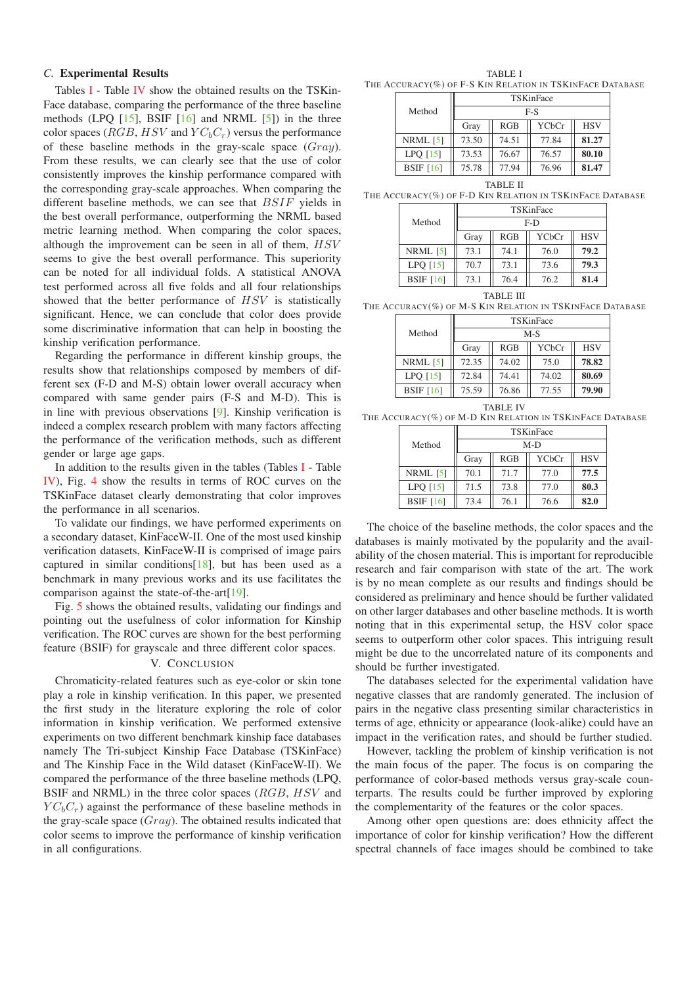# *C.* Experimental Results

Tables I - Table IV show the obtained results on the TSKin-Face database, comparing the performance of the three baseline methods (LPQ [15], BSIF [16] and NRML [5]) in the three color spaces ( $RGB, HSV$  and  $YC_bC_r$ ) versus the performance of these baseline methods in the gray-scale space (Gray). From these results, we can clearly see that the use of color consistently improves the kinship performance compared with the corresponding gray-scale approaches. When comparing the different baseline methods, we can see that BSIF yields in the best overall performance, outperforming the NRML based metric learning method. When comparing the color spaces, although the improvement can be seen in all of them, HSV seems to give the best overall performance. This superiority can be noted for all individual folds. A statistical ANOVA test performed across all five folds and all four relationships showed that the better performance of HSV is statistically significant. Hence, we can conclude that color does provide some discriminative information that can help in boosting the kinship verification performance.

Regarding the performance in different kinship groups, the results show that relationships composed by members of different sex (F-D and M-S) obtain lower overall accuracy when compared with same gender pairs (F-S and M-D). This is in line with previous observations [9]. Kinship verification is indeed a complex research problem with many factors affecting the performance of the verification methods, such as different gender or large age gaps.

In addition to the results given in the tables (Tables I - Table IV), Fig. 4 show the results in terms of ROC curves on the TSKinFace dataset clearly demonstrating that color improves the performance in all scenarios.

To validate our findings, we have performed experiments on a secondary dataset, KinFaceW-II. One of the most used kinship verification datasets, KinFaceW-II is comprised of image pairs captured in similar conditions[18], but has been used as a benchmark in many previous works and its use facilitates the comparison against the state-of-the-art[19].

Fig. 5 shows the obtained results, validating our findings and pointing out the usefulness of color information for Kinship verification. The ROC curves are shown for the best performing feature (BSIF) for grayscale and three different color spaces.

# V. CONCLUSION

Chromaticity-related features such as eye-color or skin tone play a role in kinship verification. In this paper, we presented the first study in the literature exploring the role of color information in kinship verification. We performed extensive experiments on two different benchmark kinship face databases namely The Tri-subject Kinship Face Database (TSKinFace) and The Kinship Face in the Wild dataset (KinFaceW-II). We compared the performance of the three baseline methods (LPQ, BSIF and NRML) in the three color spaces (RGB, HSV and  $YC<sub>b</sub>C<sub>r</sub>$ ) against the performance of these baseline methods in the gray-scale space  $(Gray)$ . The obtained results indicated that color seems to improve the performance of kinship verification in all configurations.

TABLE I THE ACCURACY(%) OF F-S KIN RELATION IN TSKINFACE DATABASE

| Method           | <b>TSKinFace</b> |       |       |            |
|------------------|------------------|-------|-------|------------|
|                  | $F-S$            |       |       |            |
|                  | Gray             | RGB   | YCbCr | <b>HSV</b> |
| <b>NRML</b> [5]  | 73.50            | 74.51 | 77.84 | 81.27      |
| LPO $[15]$       | 73.53            | 76.67 | 76.57 | 80.10      |
| <b>BSIF</b> [16] | 75.78            | 77.94 | 76.96 | 81.47      |

TABLE II THE ACCURACY(%) OF F-D KIN RELATION IN TSKINFACE DATABASE

|                  | <b>TSKinFace</b> |      |       |            |
|------------------|------------------|------|-------|------------|
| Method           | F-D              |      |       |            |
|                  | Gray             | RGB  | YCbCr | <b>HSV</b> |
| <b>NRML</b> [5]  | 73.1             | 74.1 | 76.0  | 79.2       |
| $LPO$ [15]       | 70.7             | 73.1 | 73.6  | 79.3       |
| <b>BSIF</b> [16] | 73.1             | 76.4 | 76.2  | 81.4       |

| <b>TABLE III</b> |
|------------------|
|------------------|

THE ACCURACY(%) OF M-S KIN RELATION IN TSKINFACE DATABASE

|                  | <b>TSKinFace</b> |       |       |            |
|------------------|------------------|-------|-------|------------|
| Method           | M-S              |       |       |            |
|                  | Gray             | RGB   | YCbCr | <b>HSV</b> |
| <b>NRML</b> [5]  | 72.35            | 74.02 | 75.0  | 78.82      |
| $LPO$ [15]       | 72.84            | 74.41 | 74.02 | 80.69      |
| <b>BSIF</b> [16] | 75.59            | 76.86 | 77.55 | 79.90      |

TABLE IV THE ACCURACY(%) OF M-D KIN RELATION IN TSKINFACE DATABASE

|                  | <b>TSKinFace</b> |      |       |            |
|------------------|------------------|------|-------|------------|
| Method           | M-D              |      |       |            |
|                  | Gray             | RGB  | YCbCr | <b>HSV</b> |
| NRML $[5]$       | 70.1             | 71.7 | 77.0  | 77.5       |
| $LPO$ [15]       | 71.5             | 73.8 | 77.0  | 80.3       |
| <b>BSIF</b> [16] | 73.4             | 76.1 | 76.6  | 82.0       |

The choice of the baseline methods, the color spaces and the databases is mainly motivated by the popularity and the availability of the chosen material. This is important for reproducible research and fair comparison with state of the art. The work is by no mean complete as our results and findings should be considered as preliminary and hence should be further validated on other larger databases and other baseline methods. It is worth noting that in this experimental setup, the HSV color space seems to outperform other color spaces. This intriguing result might be due to the uncorrelated nature of its components and should be further investigated.

The databases selected for the experimental validation have negative classes that are randomly generated. The inclusion of pairs in the negative class presenting similar characteristics in terms of age, ethnicity or appearance (look-alike) could have an impact in the verification rates, and should be further studied.

However, tackling the problem of kinship verification is not the main focus of the paper. The focus is on comparing the performance of color-based methods versus gray-scale counterparts. The results could be further improved by exploring the complementarity of the features or the color spaces.

Among other open questions are: does ethnicity affect the importance of color for kinship verification? How the different spectral channels of face images should be combined to take